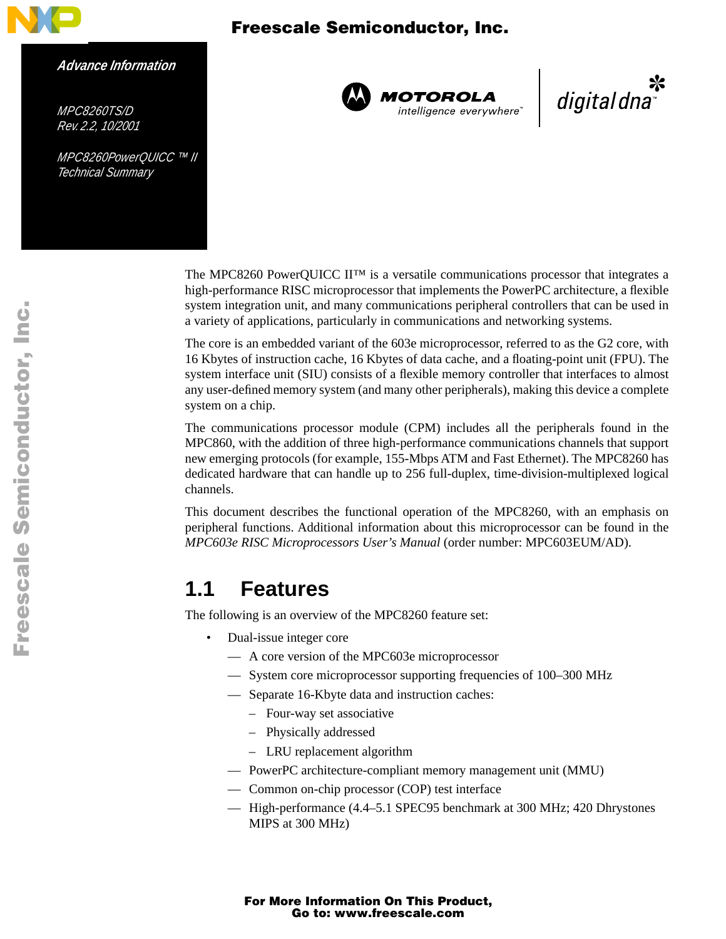

#### *Advance Information*

*MPC8260TS/D Rev. 2.2, 10/2001*

*MPC8260PowerQUICC ™ II Technical Summary*



**MOTOROLA**<br>intelligence everywhere<sup>®</sup>

digitaldna

The MPC8260 PowerQUICC II™ is a versatile communications processor that integrates a high-performance RISC microprocessor that implements the PowerPC architecture, a flexible system integration unit, and many communications peripheral controllers that can be used in a variety of applications, particularly in communications and networking systems.

The core is an embedded variant of the 603e microprocessor, referred to as the G2 core, with 16 Kbytes of instruction cache, 16 Kbytes of data cache, and a floating-point unit (FPU). The system interface unit (SIU) consists of a flexible memory controller that interfaces to almost any user-defined memory system (and many other peripherals), making this device a complete system on a chip.

The communications processor module (CPM) includes all the peripherals found in the MPC860, with the addition of three high-performance communications channels that support new emerging protocols (for example, 155-Mbps ATM and Fast Ethernet). The MPC8260 has dedicated hardware that can handle up to 256 full-duplex, time-division-multiplexed logical channels.

This document describes the functional operation of the MPC8260, with an emphasis on peripheral functions. Additional information about this microprocessor can be found in the *MPC603e RISC Microprocessors User's Manual* (order number: MPC603EUM/AD).

### **1.1 Features**

The following is an overview of the MPC8260 feature set:

- Dual-issue integer core
	- A core version of the MPC603e microprocessor
	- System core microprocessor supporting frequencies of 100–300 MHz
	- Separate 16-Kbyte data and instruction caches:
		- Four-way set associative
		- Physically addressed
		- LRU replacement algorithm
	- PowerPC architecture-compliant memory management unit (MMU)
	- Common on-chip processor (COP) test interface
	- High-performance (4.4–5.1 SPEC95 benchmark at 300 MHz; 420 Dhrystones MIPS at 300 MHz)

For More Information On This Product, Go to: www.freescale.com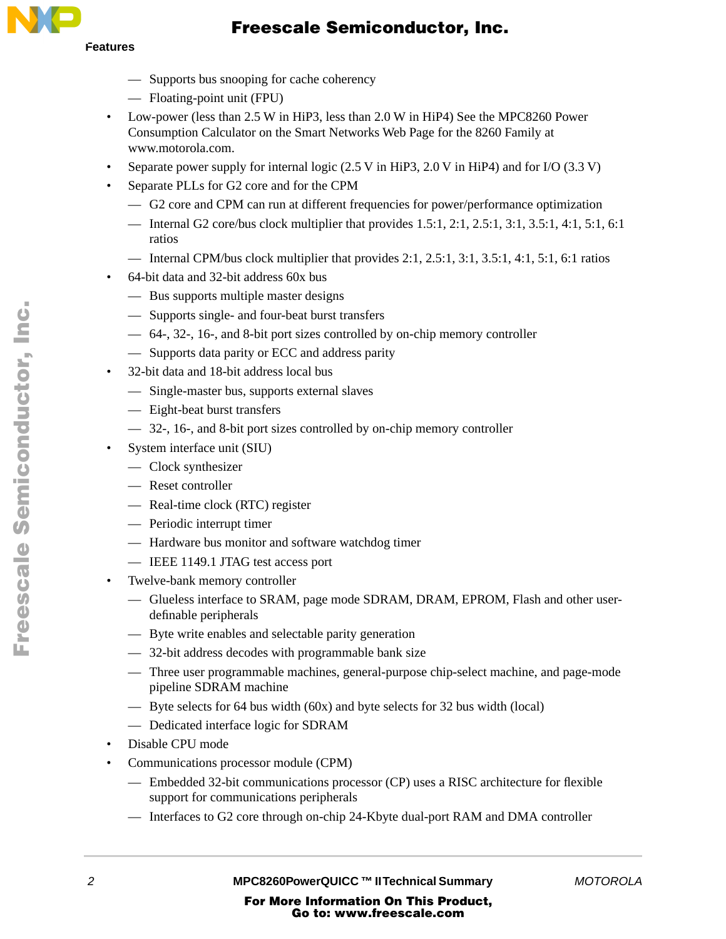# **Features**

### Freescale Semiconductor, Inc.

- Supports bus snooping for cache coherency
- Floating-point unit (FPU)
- Low-power (less than 2.5 W in HiP3, less than 2.0 W in HiP4) See the MPC8260 Power Consumption Calculator on the Smart Networks Web Page for the 8260 Family at www.motorola.com.
- Separate power supply for internal logic (2.5 V in HiP3, 2.0 V in HiP4) and for I/O (3.3 V)
- Separate PLLs for G2 core and for the CPM
	- G2 core and CPM can run at different frequencies for power/performance optimization
	- Internal G2 core/bus clock multiplier that provides  $1.5:1, 2:1, 2.5:1, 3:1, 3.5:1, 4:1, 5:1, 6:1$ ratios
	- Internal CPM/bus clock multiplier that provides  $2:1, 2.5:1, 3:1, 3.5:1, 4:1, 5:1, 6:1$  ratios
- 64-bit data and 32-bit address 60x bus
	- Bus supports multiple master designs
	- Supports single- and four-beat burst transfers
	- 64-, 32-, 16-, and 8-bit port sizes controlled by on-chip memory controller
	- Supports data parity or ECC and address parity
- 32-bit data and 18-bit address local bus
	- Single-master bus, supports external slaves
	- Eight-beat burst transfers
	- 32-, 16-, and 8-bit port sizes controlled by on-chip memory controller
- System interface unit (SIU)
	- Clock synthesizer
	- Reset controller
	- Real-time clock (RTC) register
	- Periodic interrupt timer
	- Hardware bus monitor and software watchdog timer
	- IEEE 1149.1 JTAG test access port
- Twelve-bank memory controller
	- Glueless interface to SRAM, page mode SDRAM, DRAM, EPROM, Flash and other userdefinable peripherals
	- Byte write enables and selectable parity generation
	- 32-bit address decodes with programmable bank size
	- Three user programmable machines, general-purpose chip-select machine, and page-mode pipeline SDRAM machine
	- Byte selects for 64 bus width  $(60x)$  and byte selects for 32 bus width  $(local)$
	- Dedicated interface logic for SDRAM
- Disable CPU mode
- Communications processor module (CPM)
	- Embedded 32-bit communications processor (CP) uses a RISC architecture for flexible support for communications peripherals
	- Interfaces to G2 core through on-chip 24-Kbyte dual-port RAM and DMA controller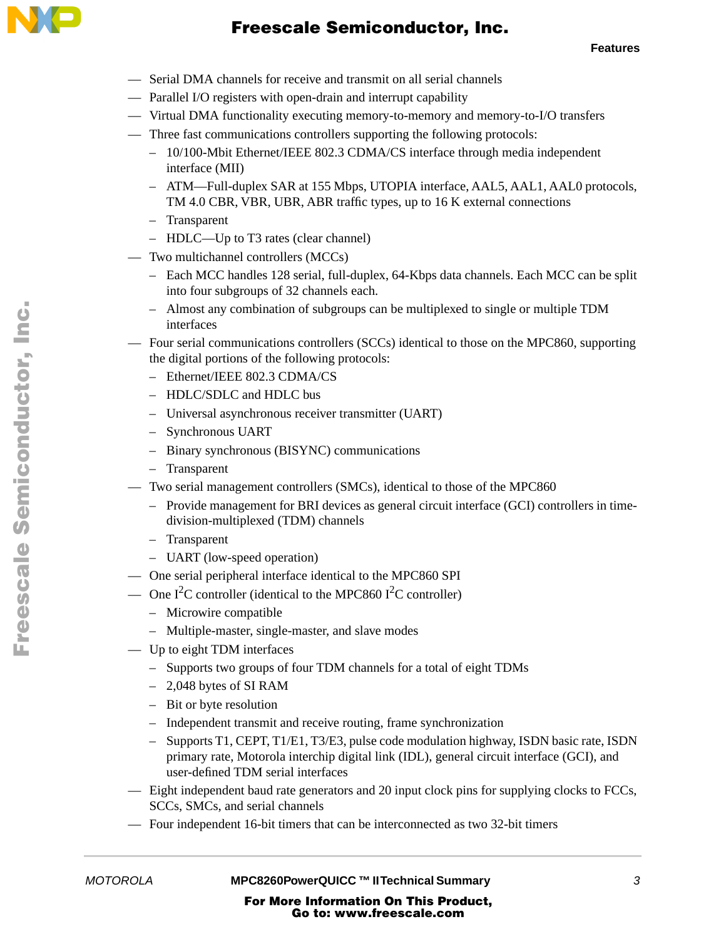

- Serial DMA channels for receive and transmit on all serial channels
- Parallel I/O registers with open-drain and interrupt capability
- Virtual DMA functionality executing memory-to-memory and memory-to-I/O transfers
- Three fast communications controllers supporting the following protocols:
	- 10/100-Mbit Ethernet/IEEE 802.3 CDMA/CS interface through media independent interface (MII)
	- ATM—Full-duplex SAR at 155 Mbps, UTOPIA interface, AAL5, AAL1, AAL0 protocols, TM 4.0 CBR, VBR, UBR, ABR traffic types, up to 16 K external connections
	- Transparent
	- HDLC—Up to T3 rates (clear channel)
- Two multichannel controllers (MCCs)
	- Each MCC handles 128 serial, full-duplex, 64-Kbps data channels. Each MCC can be split into four subgroups of 32 channels each.
	- Almost any combination of subgroups can be multiplexed to single or multiple TDM interfaces
- Four serial communications controllers (SCCs) identical to those on the MPC860, supporting the digital portions of the following protocols:
	- Ethernet/IEEE 802.3 CDMA/CS
	- HDLC/SDLC and HDLC bus
	- Universal asynchronous receiver transmitter (UART)
	- Synchronous UART
	- Binary synchronous (BISYNC) communications
	- Transparent
- Two serial management controllers (SMCs), identical to those of the MPC860
	- Provide management for BRI devices as general circuit interface (GCI) controllers in timedivision-multiplexed (TDM) channels
	- Transparent
	- UART (low-speed operation)
- One serial peripheral interface identical to the MPC860 SPI
- One I<sup>2</sup>C controller (identical to the MPC860 I<sup>2</sup>C controller)
	- Microwire compatible
	- Multiple-master, single-master, and slave modes
- Up to eight TDM interfaces
	- Supports two groups of four TDM channels for a total of eight TDMs
	- 2,048 bytes of SI RAM
	- Bit or byte resolution
	- Independent transmit and receive routing, frame synchronization
	- Supports T1, CEPT, T1/E1, T3/E3, pulse code modulation highway, ISDN basic rate, ISDN primary rate, Motorola interchip digital link (IDL), general circuit interface (GCI), and user-defined TDM serial interfaces
- Eight independent baud rate generators and 20 input clock pins for supplying clocks to FCCs, SCCs, SMCs, and serial channels
- Four independent 16-bit timers that can be interconnected as two 32-bit timers

*MOTOROLA* **MPC8260PowerQUICC ™ II Technical Summary** *3*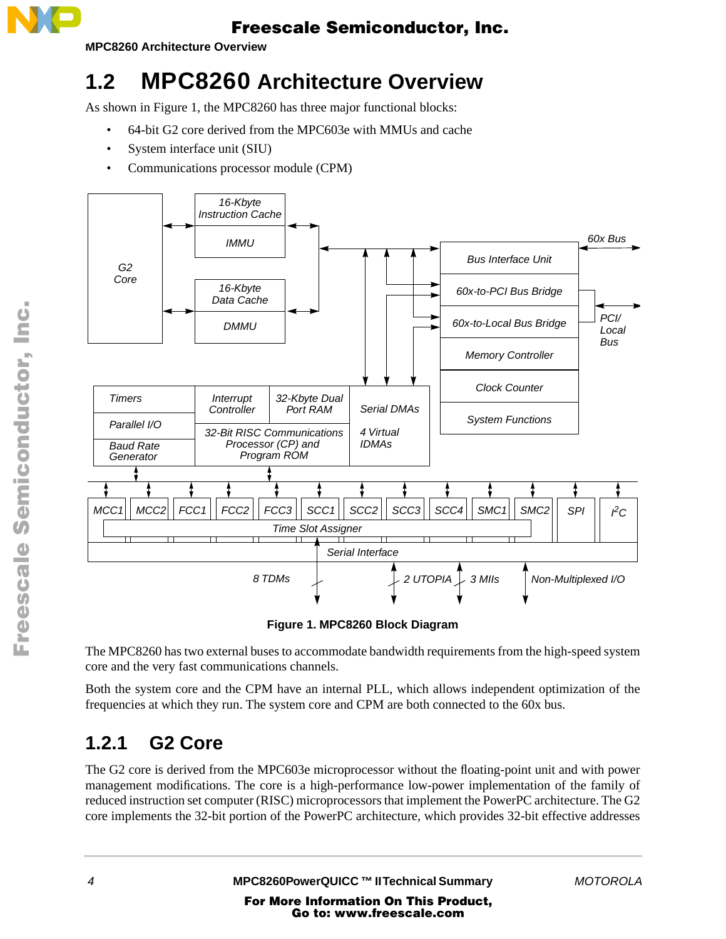

**MPC8260 Architecture Overview** 

# **1.2 MPC8260 Architecture Overview**

As shown in Figure 1, the MPC8260 has three major functional blocks:

- 64-bit G2 core derived from the MPC603e with MMUs and cache
- System interface unit (SIU)
- Communications processor module (CPM)



**Figure 1. MPC8260 Block Diagram**

The MPC8260 has two external buses to accommodate bandwidth requirements from the high-speed system core and the very fast communications channels.

Both the system core and the CPM have an internal PLL, which allows independent optimization of the frequencies at which they run. The system core and CPM are both connected to the 60x bus.

## **1.2.1 G2 Core**

The G2 core is derived from the MPC603e microprocessor without the floating-point unit and with power management modifications. The core is a high-performance low-power implementation of the family of reduced instruction set computer (RISC) microprocessors that implement the PowerPC architecture. The G2 core implements the 32-bit portion of the PowerPC architecture, which provides 32-bit effective addresses

t o

r, I

n

.<br>ق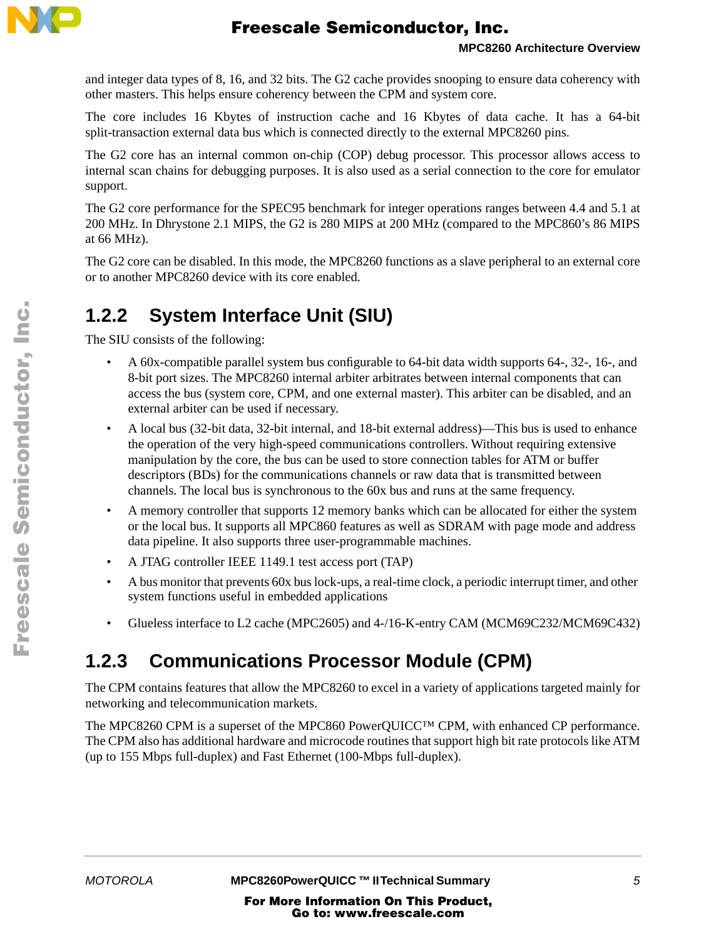

and integer data types of 8, 16, and 32 bits. The G2 cache provides snooping to ensure data coherency with other masters. This helps ensure coherency between the CPM and system core.

The core includes 16 Kbytes of instruction cache and 16 Kbytes of data cache. It has a 64-bit split-transaction external data bus which is connected directly to the external MPC8260 pins.

The G2 core has an internal common on-chip (COP) debug processor. This processor allows access to internal scan chains for debugging purposes. It is also used as a serial connection to the core for emulator support.

The G2 core performance for the SPEC95 benchmark for integer operations ranges between 4.4 and 5.1 at 200 MHz. In Dhrystone 2.1 MIPS, the G2 is 280 MIPS at 200 MHz (compared to the MPC860's 86 MIPS at 66 MHz).

The G2 core can be disabled. In this mode, the MPC8260 functions as a slave peripheral to an external core or to another MPC8260 device with its core enabled.

### **1.2.2 System Interface Unit (SIU)**

The SIU consists of the following:

- A 60x-compatible parallel system bus configurable to 64-bit data width supports 64-, 32-, 16-, and 8-bit port sizes. The MPC8260 internal arbiter arbitrates between internal components that can access the bus (system core, CPM, and one external master). This arbiter can be disabled, and an external arbiter can be used if necessary.
- A local bus (32-bit data, 32-bit internal, and 18-bit external address)—This bus is used to enhance the operation of the very high-speed communications controllers. Without requiring extensive manipulation by the core, the bus can be used to store connection tables for ATM or buffer descriptors (BDs) for the communications channels or raw data that is transmitted between channels. The local bus is synchronous to the 60x bus and runs at the same frequency.
- A memory controller that supports 12 memory banks which can be allocated for either the system or the local bus. It supports all MPC860 features as well as SDRAM with page mode and address data pipeline. It also supports three user-programmable machines.
- A JTAG controller IEEE 1149.1 test access port (TAP)
- A bus monitor that prevents 60x bus lock-ups, a real-time clock, a periodic interrupt timer, and other system functions useful in embedded applications
- Glueless interface to L2 cache (MPC2605) and 4-/16-K-entry CAM (MCM69C232/MCM69C432)

### **1.2.3 Communications Processor Module (CPM)**

The CPM contains features that allow the MPC8260 to excel in a variety of applications targeted mainly for networking and telecommunication markets.

The MPC8260 CPM is a superset of the MPC860 PowerQUICC™ CPM, with enhanced CP performance. The CPM also has additional hardware and microcode routines that support high bit rate protocols like ATM (up to 155 Mbps full-duplex) and Fast Ethernet (100-Mbps full-duplex).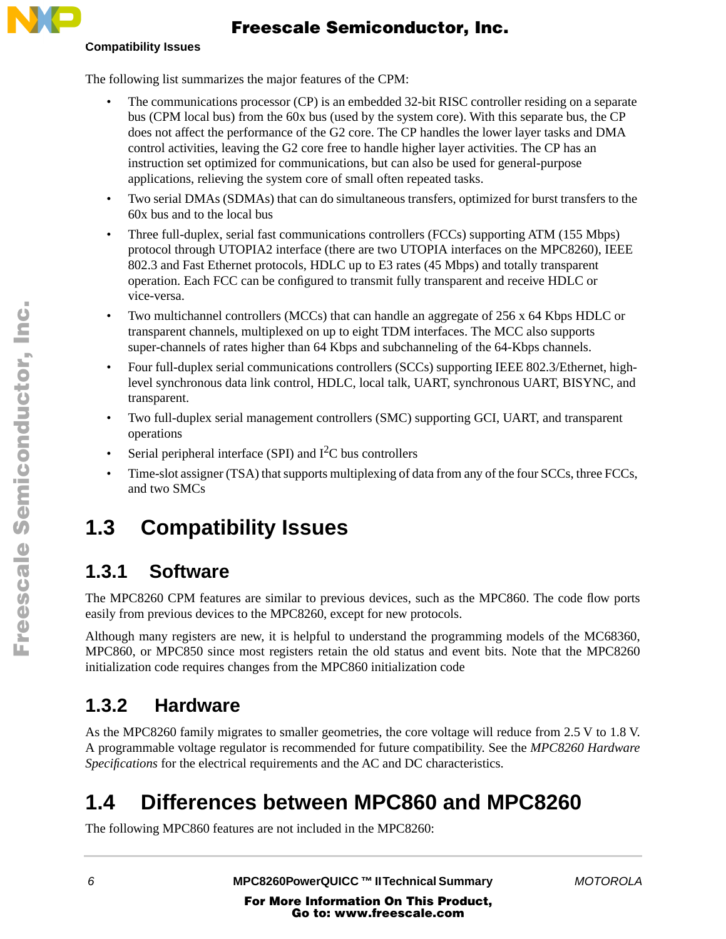### **Compatibility Issues**

### Freescale Semiconductor, Inc.

The following list summarizes the major features of the CPM:

- The communications processor (CP) is an embedded 32-bit RISC controller residing on a separate bus (CPM local bus) from the 60x bus (used by the system core). With this separate bus, the CP does not affect the performance of the G2 core. The CP handles the lower layer tasks and DMA control activities, leaving the G2 core free to handle higher layer activities. The CP has an instruction set optimized for communications, but can also be used for general-purpose applications, relieving the system core of small often repeated tasks.
- Two serial DMAs (SDMAs) that can do simultaneous transfers, optimized for burst transfers to the 60x bus and to the local bus
- Three full-duplex, serial fast communications controllers (FCCs) supporting ATM (155 Mbps) protocol through UTOPIA2 interface (there are two UTOPIA interfaces on the MPC8260), IEEE 802.3 and Fast Ethernet protocols, HDLC up to E3 rates (45 Mbps) and totally transparent operation. Each FCC can be configured to transmit fully transparent and receive HDLC or vice-versa.
- Two multichannel controllers (MCCs) that can handle an aggregate of 256 x 64 Kbps HDLC or transparent channels, multiplexed on up to eight TDM interfaces. The MCC also supports super-channels of rates higher than 64 Kbps and subchanneling of the 64-Kbps channels.
- Four full-duplex serial communications controllers (SCCs) supporting IEEE 802.3/Ethernet, highlevel synchronous data link control, HDLC, local talk, UART, synchronous UART, BISYNC, and transparent.
- Two full-duplex serial management controllers (SMC) supporting GCI, UART, and transparent operations
- Serial peripheral interface (SPI) and  $I<sup>2</sup>C$  bus controllers
- Time-slot assigner (TSA) that supports multiplexing of data from any of the four SCCs, three FCCs, and two SMCs

# **1.3 Compatibility Issues**

# **1.3.1 Software**

The MPC8260 CPM features are similar to previous devices, such as the MPC860. The code flow ports easily from previous devices to the MPC8260, except for new protocols.

Although many registers are new, it is helpful to understand the programming models of the MC68360, MPC860, or MPC850 since most registers retain the old status and event bits. Note that the MPC8260 initialization code requires changes from the MPC860 initialization code

# **1.3.2 Hardware**

As the MPC8260 family migrates to smaller geometries, the core voltage will reduce from 2.5 V to 1.8 V. A programmable voltage regulator is recommended for future compatibility. See the *MPC8260 Hardware Specifications* for the electrical requirements and the AC and DC characteristics.

# **1.4 Differences between MPC860 and MPC8260**

The following MPC860 features are not included in the MPC8260: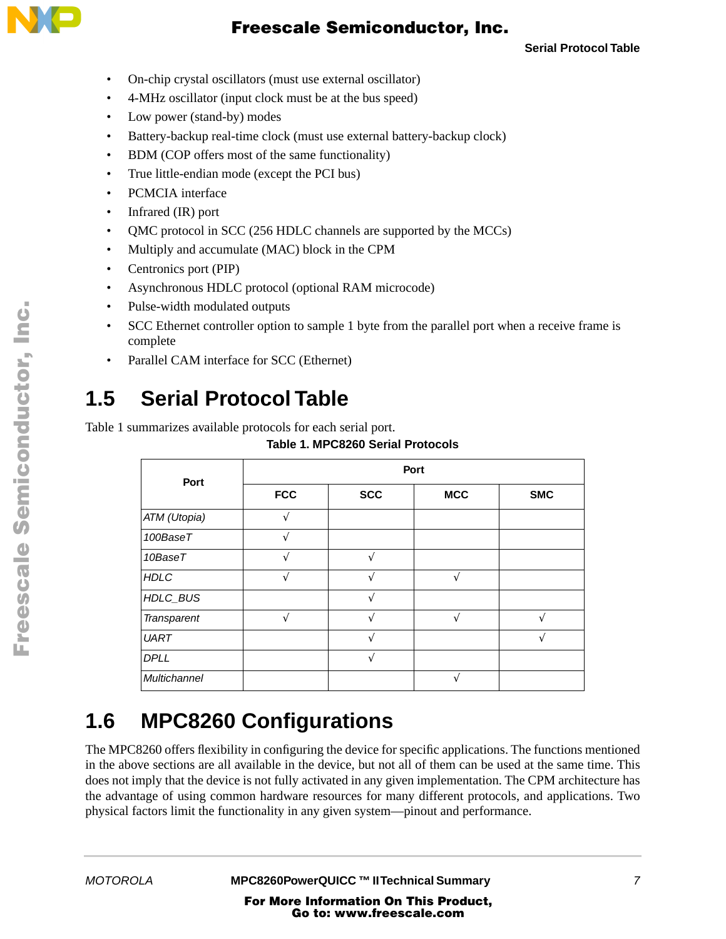

**Serial Protocol Table**

- On-chip crystal oscillators (must use external oscillator)
- 4-MHz oscillator (input clock must be at the bus speed)
- Low power (stand-by) modes
- Battery-backup real-time clock (must use external battery-backup clock)
- BDM (COP offers most of the same functionality)
- True little-endian mode (except the PCI bus)
- PCMCIA interface
- Infrared (IR) port
- OMC protocol in SCC (256 HDLC channels are supported by the MCCs)
- Multiply and accumulate (MAC) block in the CPM
- Centronics port (PIP)
- Asynchronous HDLC protocol (optional RAM microcode)
- Pulse-width modulated outputs
- SCC Ethernet controller option to sample 1 byte from the parallel port when a receive frame is complete
- Parallel CAM interface for SCC (Ethernet)

# **1.5 Serial Protocol Table**

Table 1 summarizes available protocols for each serial port.

**Table 1. MPC8260 Serial Protocols**

| Port         | Port          |               |            |            |  |  |
|--------------|---------------|---------------|------------|------------|--|--|
|              | <b>FCC</b>    | <b>SCC</b>    | <b>MCC</b> | <b>SMC</b> |  |  |
| ATM (Utopia) | $\mathcal{L}$ |               |            |            |  |  |
| 100BaseT     |               |               |            |            |  |  |
| 10BaseT      |               |               |            |            |  |  |
| <b>HDLC</b>  |               |               | ٦Ι         |            |  |  |
| HDLC_BUS     |               | $\mathcal{L}$ |            |            |  |  |
| Transparent  | ٦             |               | ٦          |            |  |  |
| <b>UART</b>  |               |               |            |            |  |  |
| <b>DPLL</b>  |               |               |            |            |  |  |
| Multichannel |               |               |            |            |  |  |

# **1.6 MPC8260 Configurations**

The MPC8260 offers flexibility in configuring the device for specific applications. The functions mentioned in the above sections are all available in the device, but not all of them can be used at the same time. This does not imply that the device is not fully activated in any given implementation. The CPM architecture has the advantage of using common hardware resources for many different protocols, and applications. Two physical factors limit the functionality in any given system—pinout and performance.

.<br>ق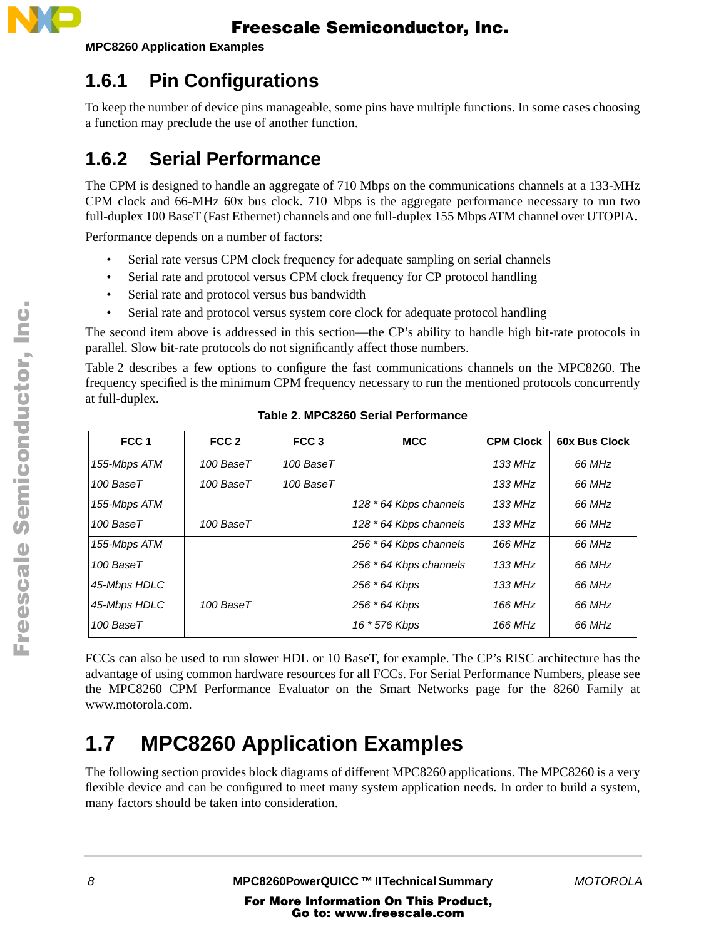

**MPC8260 Application Examples** 

### **1.6.1 Pin Configurations**

To keep the number of device pins manageable, some pins have multiple functions. In some cases choosing a function may preclude the use of another function.

### **1.6.2 Serial Performance**

The CPM is designed to handle an aggregate of 710 Mbps on the communications channels at a 133-MHz CPM clock and 66-MHz 60x bus clock. 710 Mbps is the aggregate performance necessary to run two full-duplex 100 BaseT (Fast Ethernet) channels and one full-duplex 155 Mbps ATM channel over UTOPIA.

Performance depends on a number of factors:

- Serial rate versus CPM clock frequency for adequate sampling on serial channels
- Serial rate and protocol versus CPM clock frequency for CP protocol handling
- Serial rate and protocol versus bus bandwidth
- Serial rate and protocol versus system core clock for adequate protocol handling

The second item above is addressed in this section—the CP's ability to handle high bit-rate protocols in parallel. Slow bit-rate protocols do not significantly affect those numbers.

Table 2 describes a few options to configure the fast communications channels on the MPC8260. The frequency specified is the minimum CPM frequency necessary to run the mentioned protocols concurrently at full-duplex.

| FCC <sub>1</sub> | FCC <sub>2</sub> | FCC <sub>3</sub> | <b>MCC</b>             | <b>CPM Clock</b> | <b>60x Bus Clock</b> |
|------------------|------------------|------------------|------------------------|------------------|----------------------|
| 155-Mbps ATM     | 100 BaseT        | 100 BaseT        |                        | 133 MHz          | 66 MHz               |
| 100 BaseT        | 100 BaseT        | 100 BaseT        |                        | 133 MHz          | 66 MHz               |
| 155-Mbps ATM     |                  |                  | 128 * 64 Kbps channels | 133 MHz          | 66 MHz               |
| 100 BaseT        | 100 BaseT        |                  | 128 * 64 Kbps channels | 133 MHz          | 66 MHz               |
| 155-Mbps ATM     |                  |                  | 256 * 64 Kbps channels | 166 MHz          | 66 MHz               |
| 100 BaseT        |                  |                  | 256 * 64 Kbps channels | 133 MHz          | 66 MHz               |
| 45-Mbps HDLC     |                  |                  | 256 * 64 Kbps          | 133 MHz          | 66 MHz               |
| 45-Mbps HDLC     | 100 BaseT        |                  | 256 * 64 Kbps          | 166 MHz          | 66 MHz               |
| 100 BaseT        |                  |                  | 16 * 576 Kbps          | 166 MHz          | 66 MHz               |

**Table 2. MPC8260 Serial Performance**

FCCs can also be used to run slower HDL or 10 BaseT, for example. The CP's RISC architecture has the advantage of using common hardware resources for all FCCs. For Serial Performance Numbers, please see the MPC8260 CPM Performance Evaluator on the Smart Networks page for the 8260 Family at www.motorola.com.

# **1.7 MPC8260 Application Examples**

The following section provides block diagrams of different MPC8260 applications. The MPC8260 is a very flexible device and can be configured to meet many system application needs. In order to build a system, many factors should be taken into consideration.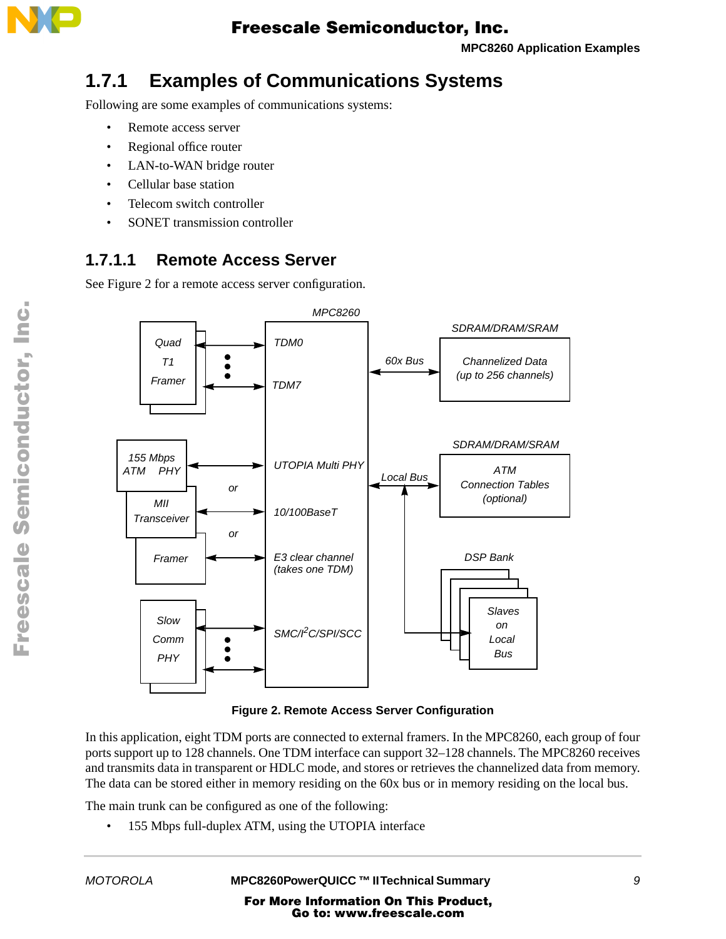

**MPC8260 Application Examples**

### **1.7.1 Examples of Communications Systems**

Following are some examples of communications systems:

- Remote access server
- Regional office router
- LAN-to-WAN bridge router
- Cellular base station
- Telecom switch controller
- SONET transmission controller

### **1.7.1.1 Remote Access Server**

See Figure 2 for a remote access server configuration.



**Figure 2. Remote Access Server Configuration**

In this application, eight TDM ports are connected to external framers. In the MPC8260, each group of four ports support up to 128 channels. One TDM interface can support 32–128 channels. The MPC8260 receives and transmits data in transparent or HDLC mode, and stores or retrieves the channelized data from memory. The data can be stored either in memory residing on the 60x bus or in memory residing on the local bus.

The main trunk can be configured as one of the following:

155 Mbps full-duplex ATM, using the UTOPIA interface

F $\mathbf \Phi$  $\bf \Phi$  $\boldsymbol{\theta}$  $\mathbf 0$ 

ale

 $\boldsymbol{g}$  $\bf \Phi$ 

mic

o n d u  $\mathbf 0$ t o

r, I

n

.<br>ق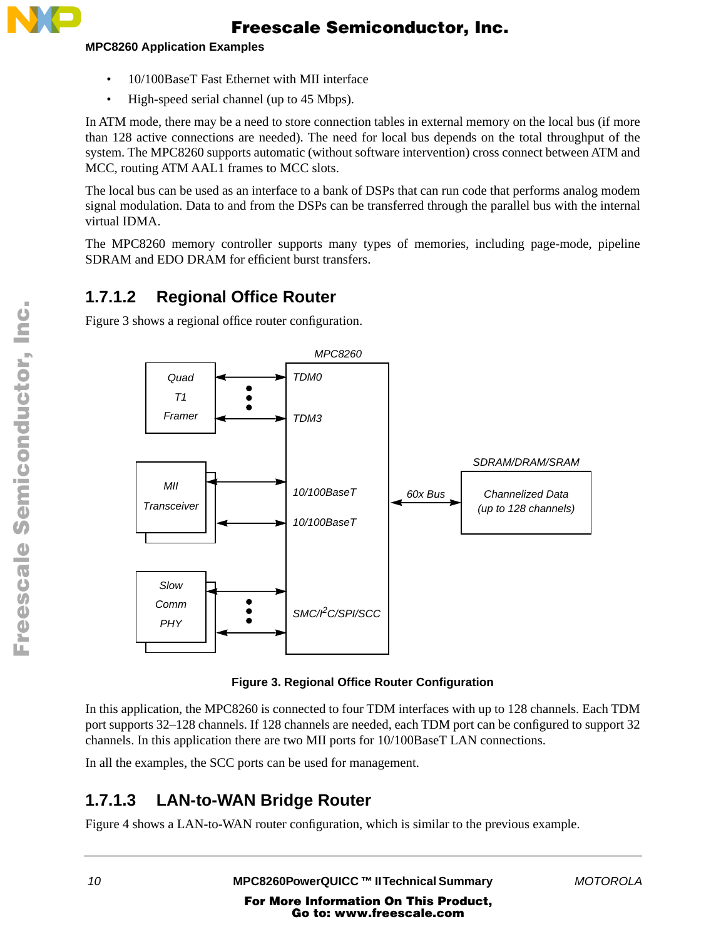

#### **MPC8260 Application Examples**

- 10/100BaseT Fast Ethernet with MII interface
- High-speed serial channel (up to 45 Mbps).

In ATM mode, there may be a need to store connection tables in external memory on the local bus (if more than 128 active connections are needed). The need for local bus depends on the total throughput of the system. The MPC8260 supports automatic (without software intervention) cross connect between ATM and MCC, routing ATM AAL1 frames to MCC slots.

The local bus can be used as an interface to a bank of DSPs that can run code that performs analog modem signal modulation. Data to and from the DSPs can be transferred through the parallel bus with the internal virtual IDMA.

The MPC8260 memory controller supports many types of memories, including page-mode, pipeline SDRAM and EDO DRAM for efficient burst transfers.

### **1.7.1.2 Regional Office Router**

Figure 3 shows a regional office router configuration.



**Figure 3. Regional Office Router Configuration**

In this application, the MPC8260 is connected to four TDM interfaces with up to 128 channels. Each TDM port supports 32–128 channels. If 128 channels are needed, each TDM port can be configured to support 32 channels. In this application there are two MII ports for 10/100BaseT LAN connections.

In all the examples, the SCC ports can be used for management.

### **1.7.1.3 LAN-to-WAN Bridge Router**

Figure 4 shows a LAN-to-WAN router configuration, which is similar to the previous example.

*10* **MPC8260PowerQUICC ™ II Technical Summary** *MOTOROLA*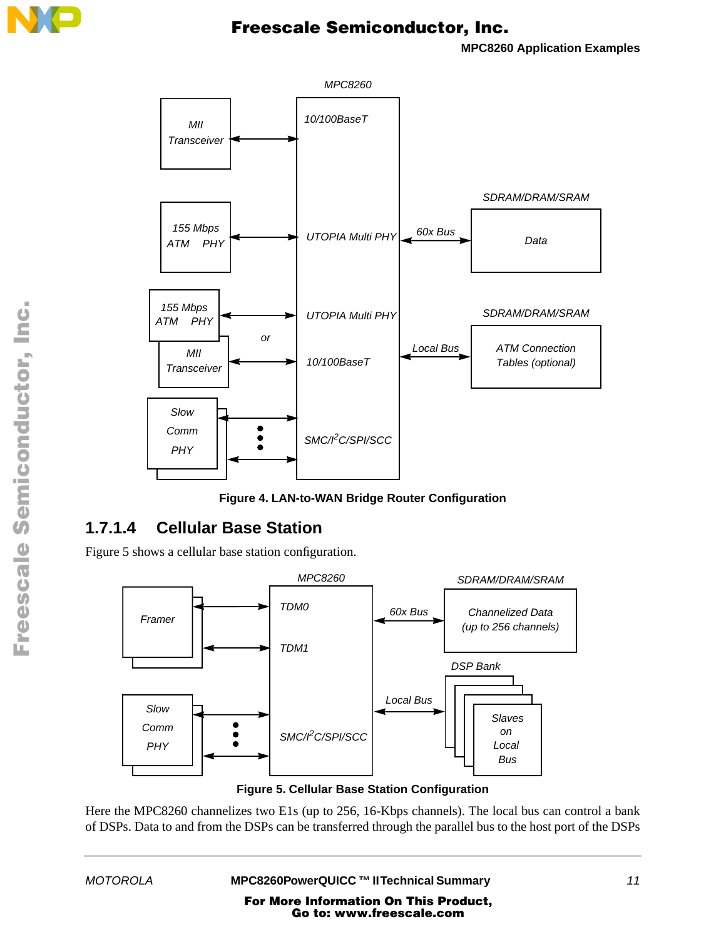

**MPC8260 Application Examples**





### **1.7.1.4 Cellular Base Station**

Figure 5 shows a cellular base station configuration.



**Figure 5. Cellular Base Station Configuration**

Here the MPC8260 channelizes two E1s (up to 256, 16-Kbps channels). The local bus can control a bank of DSPs. Data to and from the DSPs can be transferred through the parallel bus to the host port of the DSPs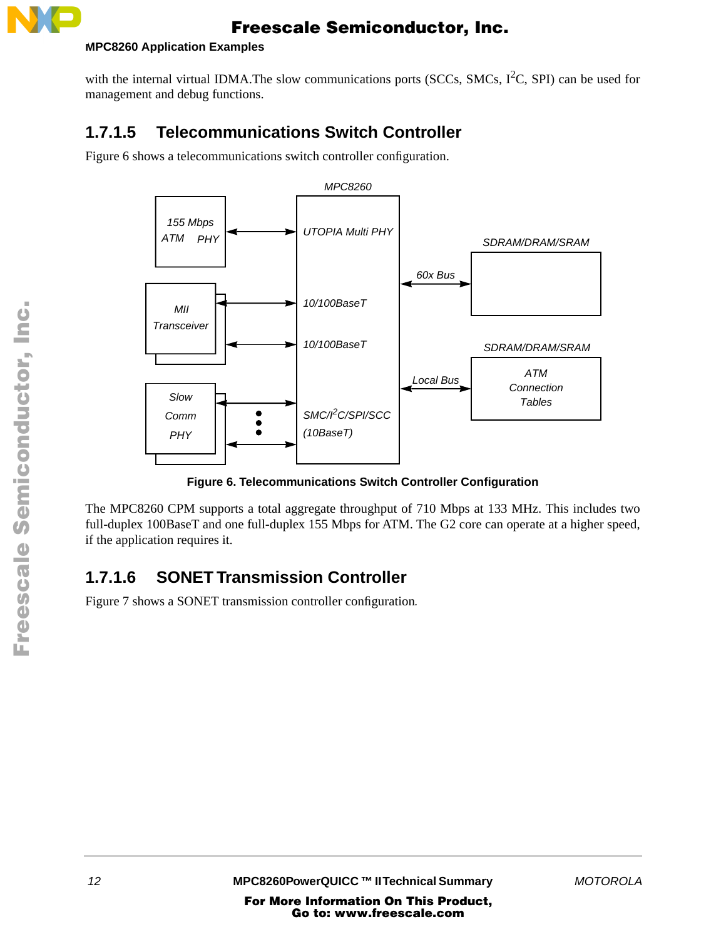

#### **MPC8260 Application Examples**

with the internal virtual IDMA. The slow communications ports (SCCs, SMCs,  $I<sup>2</sup>C$ , SPI) can be used for management and debug functions.

### **1.7.1.5 Telecommunications Switch Controller**

Figure 6 shows a telecommunications switch controller configuration.



**Figure 6. Telecommunications Switch Controller Configuration**

The MPC8260 CPM supports a total aggregate throughput of 710 Mbps at 133 MHz. This includes two full-duplex 100BaseT and one full-duplex 155 Mbps for ATM. The G2 core can operate at a higher speed, if the application requires it.

### **1.7.1.6 SONET Transmission Controller**

Figure 7 shows a SONET transmission controller configuration*.*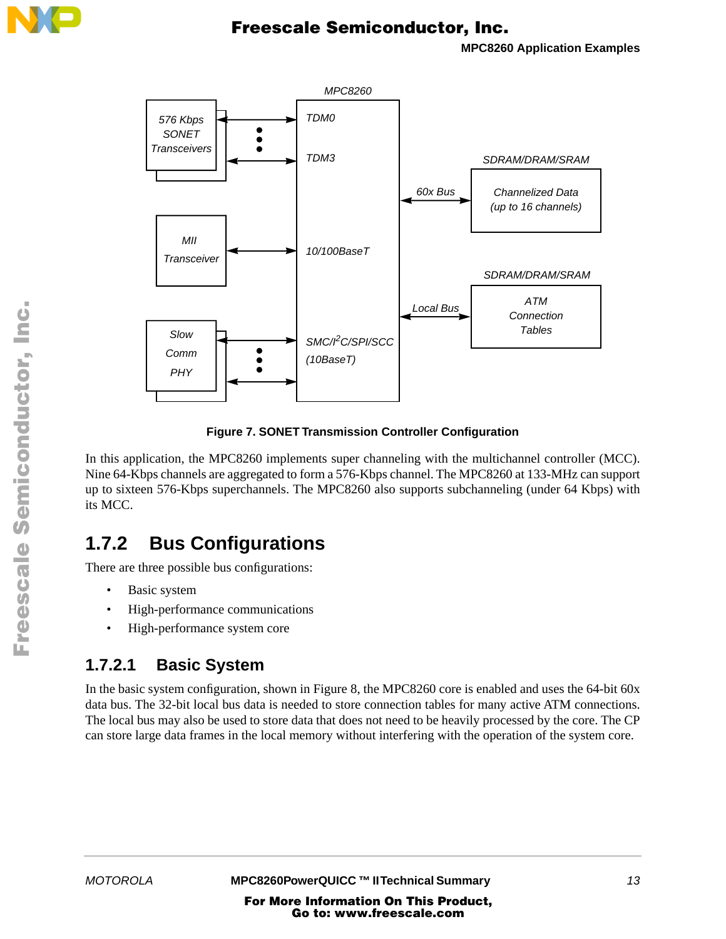

**MPC8260 Application Examples**



**Figure 7. SONET Transmission Controller Configuration**

In this application, the MPC8260 implements super channeling with the multichannel controller (MCC). Nine 64-Kbps channels are aggregated to form a 576-Kbps channel. The MPC8260 at 133-MHz can support up to sixteen 576-Kbps superchannels. The MPC8260 also supports subchanneling (under 64 Kbps) with its MCC.

### **1.7.2 Bus Configurations**

There are three possible bus configurations:

- Basic system
- High-performance communications
- High-performance system core

### **1.7.2.1 Basic System**

In the basic system configuration, shown in Figure 8, the MPC8260 core is enabled and uses the 64-bit 60x data bus. The 32-bit local bus data is needed to store connection tables for many active ATM connections. The local bus may also be used to store data that does not need to be heavily processed by the core. The CP can store large data frames in the local memory without interfering with the operation of the system core.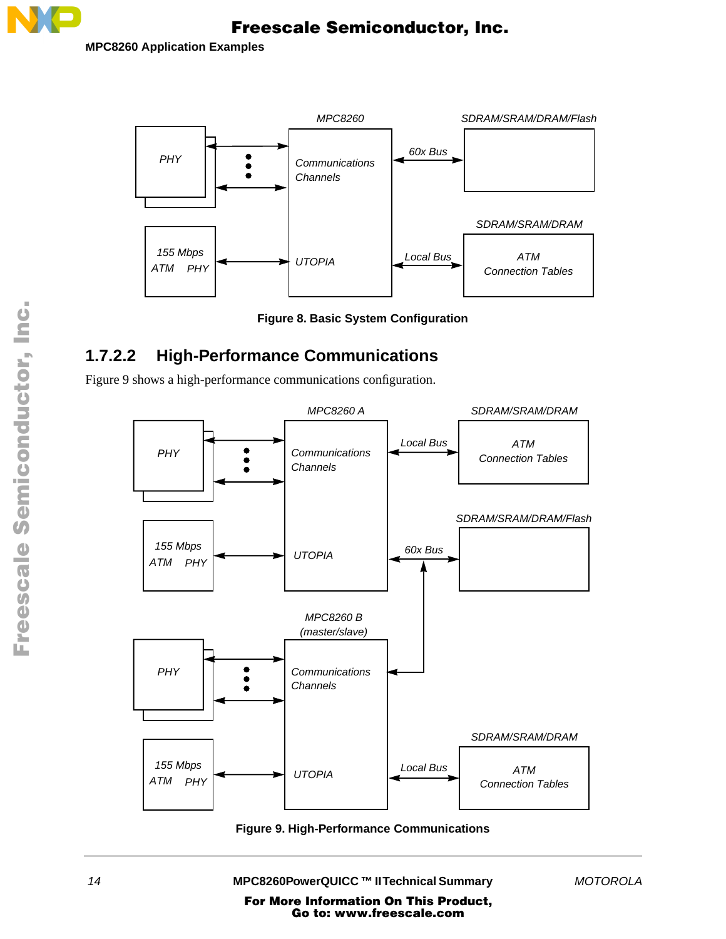

**MPC8260 Application Examples** 



**Figure 8. Basic System Configuration**

### **1.7.2.2 High-Performance Communications**

Figure 9 shows a high-performance communications configuration.



**Figure 9. High-Performance Communications**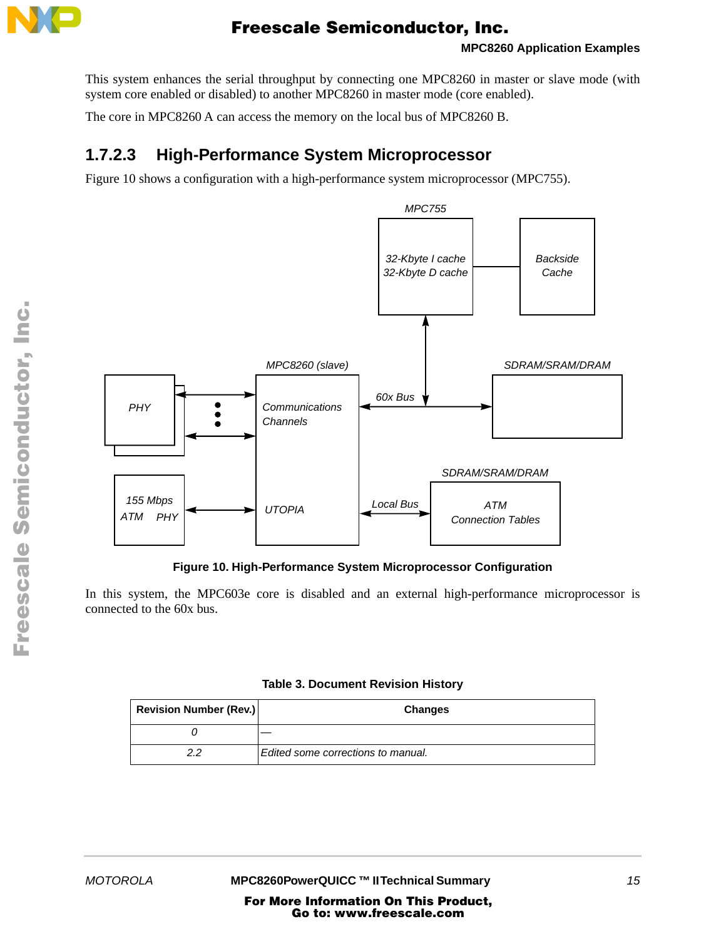

This system enhances the serial throughput by connecting one MPC8260 in master or slave mode (with system core enabled or disabled) to another MPC8260 in master mode (core enabled).

The core in MPC8260 A can access the memory on the local bus of MPC8260 B.

### **1.7.2.3 High-Performance System Microprocessor**

Figure 10 shows a configuration with a high-performance system microprocessor (MPC755).



**Figure 10. High-Performance System Microprocessor Configuration** 

In this system, the MPC603e core is disabled and an external high-performance microprocessor is connected to the 60x bus.

| <b>Revision Number (Rev.)</b> | <b>Changes</b>                     |  |
|-------------------------------|------------------------------------|--|
|                               |                                    |  |
| 22                            | Edited some corrections to manual. |  |